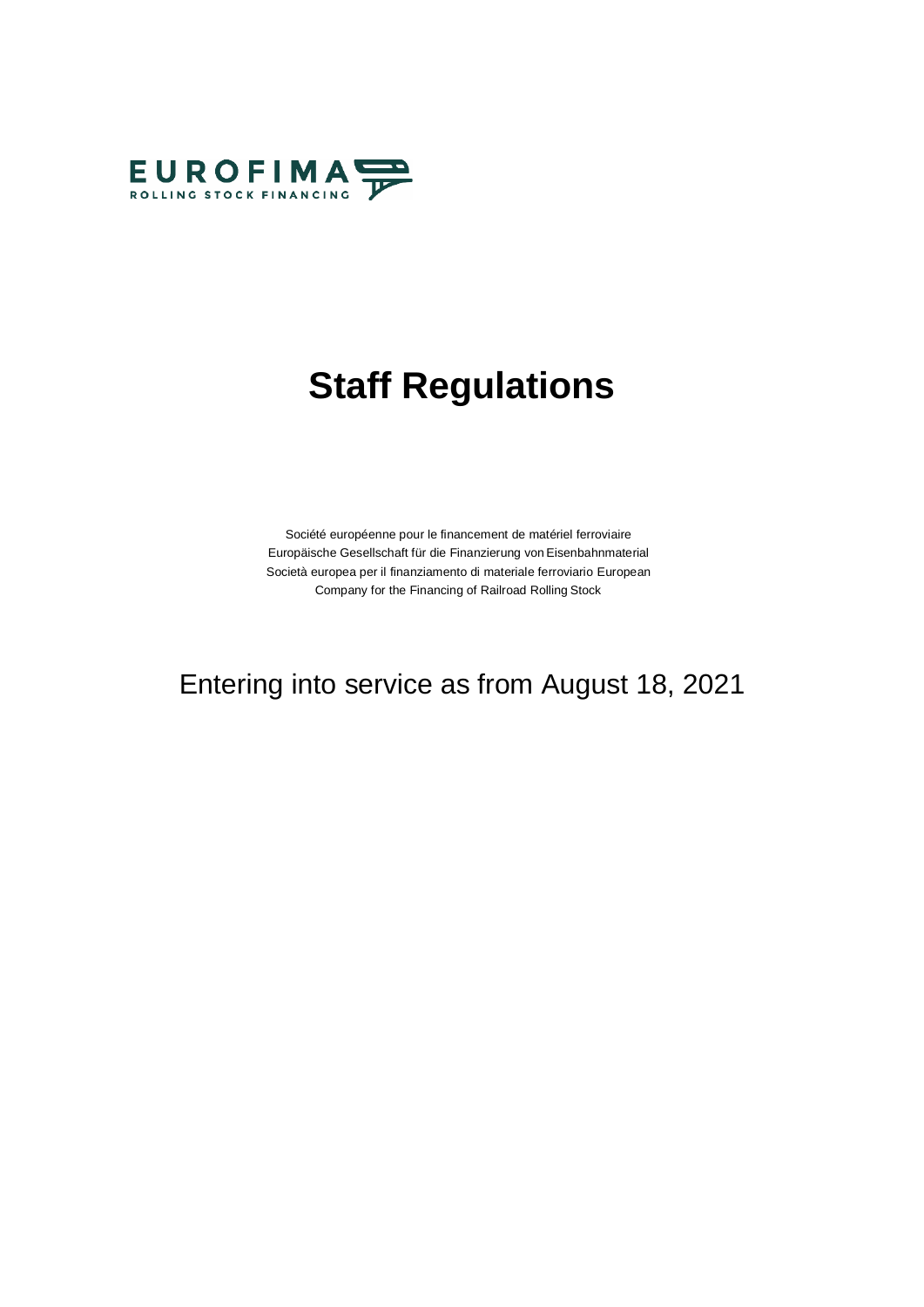

# **Staff Regulations**

Société européenne pour le financement de matériel ferroviaire Europäische Gesellschaft für die Finanzierung von Eisenbahnmaterial Società europea per il finanziamento di materiale ferroviario European Company for the Financing of Railroad Rolling Stock

# Entering into service as from August 18, 2021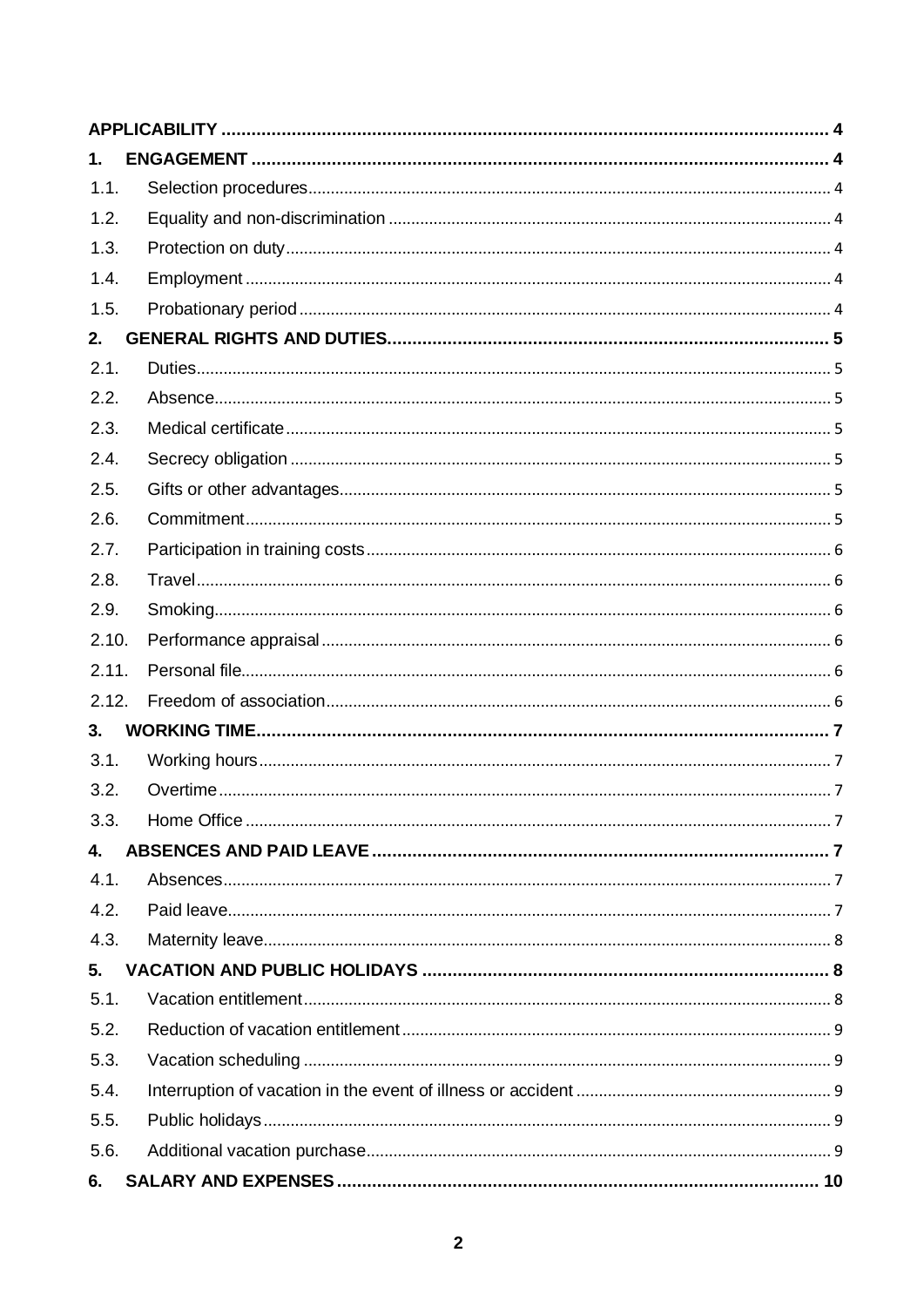| 1.    |  |  |  |  |  |
|-------|--|--|--|--|--|
| 1.1.  |  |  |  |  |  |
| 1.2.  |  |  |  |  |  |
| 1.3.  |  |  |  |  |  |
| 1.4.  |  |  |  |  |  |
| 1.5.  |  |  |  |  |  |
| 2.    |  |  |  |  |  |
| 2.1.  |  |  |  |  |  |
| 2.2.  |  |  |  |  |  |
| 2.3.  |  |  |  |  |  |
| 2.4.  |  |  |  |  |  |
| 2.5.  |  |  |  |  |  |
| 2.6.  |  |  |  |  |  |
| 2.7.  |  |  |  |  |  |
| 2.8.  |  |  |  |  |  |
| 2.9.  |  |  |  |  |  |
| 2.10. |  |  |  |  |  |
| 2.11. |  |  |  |  |  |
| 2.12. |  |  |  |  |  |
| 3.    |  |  |  |  |  |
| 3.1.  |  |  |  |  |  |
| 3.2.  |  |  |  |  |  |
| 3.3.  |  |  |  |  |  |
| 4.    |  |  |  |  |  |
| 4.1.  |  |  |  |  |  |
| 4.2.  |  |  |  |  |  |
| 4.3.  |  |  |  |  |  |
| 5.    |  |  |  |  |  |
| 5.1.  |  |  |  |  |  |
| 5.2.  |  |  |  |  |  |
| 5.3.  |  |  |  |  |  |
| 5.4.  |  |  |  |  |  |
| 5.5.  |  |  |  |  |  |
| 5.6.  |  |  |  |  |  |
| 6.    |  |  |  |  |  |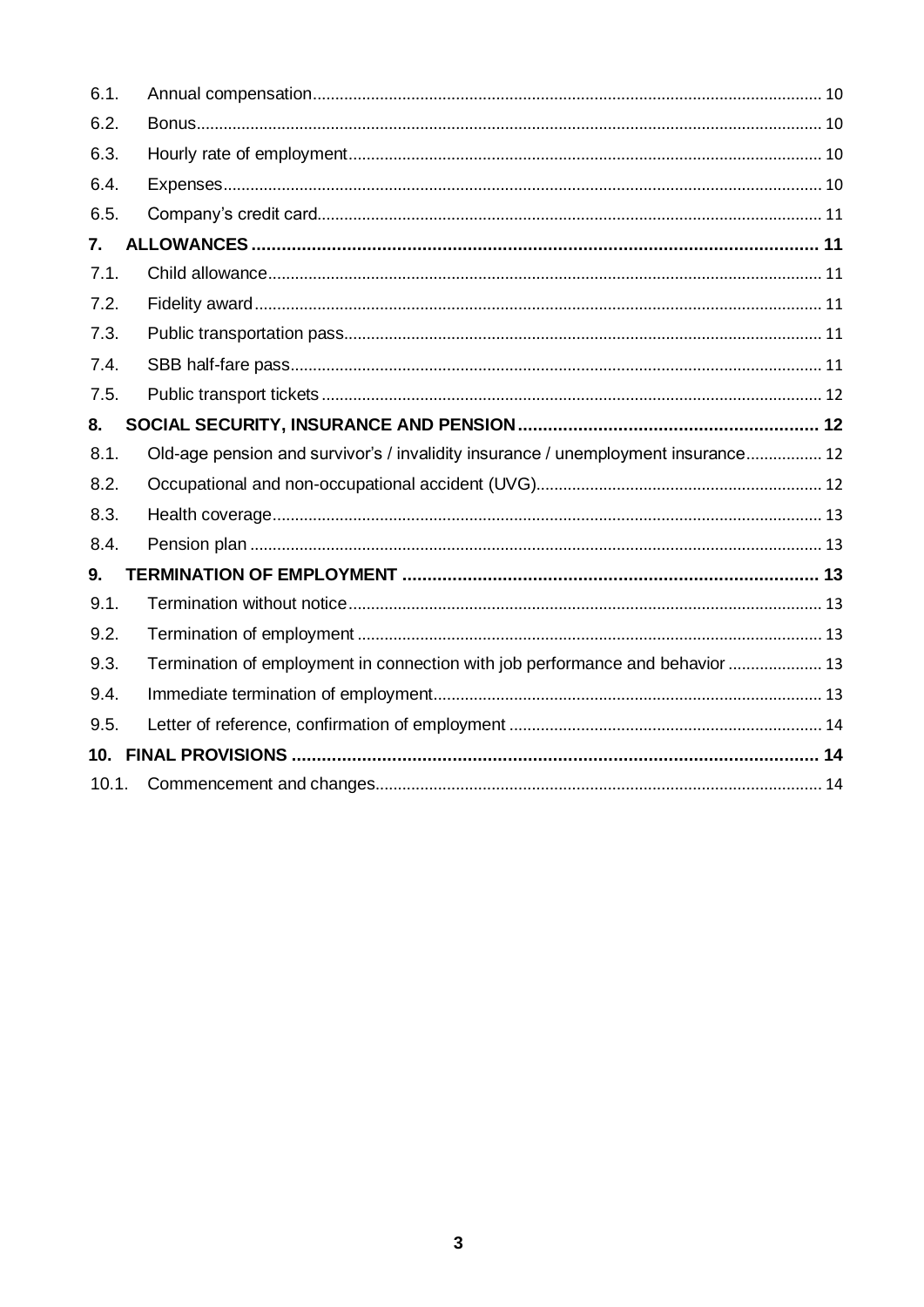| 6.1.  |                                                                                   |
|-------|-----------------------------------------------------------------------------------|
| 6.2.  |                                                                                   |
| 6.3.  |                                                                                   |
| 6.4.  |                                                                                   |
| 6.5.  |                                                                                   |
| 7.    |                                                                                   |
| 7.1.  |                                                                                   |
| 7.2.  |                                                                                   |
| 7.3.  |                                                                                   |
| 7.4.  |                                                                                   |
| 7.5.  |                                                                                   |
| 8.    |                                                                                   |
| 8.1.  | Old-age pension and survivor's / invalidity insurance / unemployment insurance 12 |
| 8.2.  |                                                                                   |
| 8.3.  |                                                                                   |
| 8.4.  |                                                                                   |
| 9.    |                                                                                   |
| 9.1.  |                                                                                   |
| 9.2.  |                                                                                   |
| 9.3.  | Termination of employment in connection with job performance and behavior  13     |
| 9.4.  |                                                                                   |
| 9.5.  |                                                                                   |
|       |                                                                                   |
| 10.1. |                                                                                   |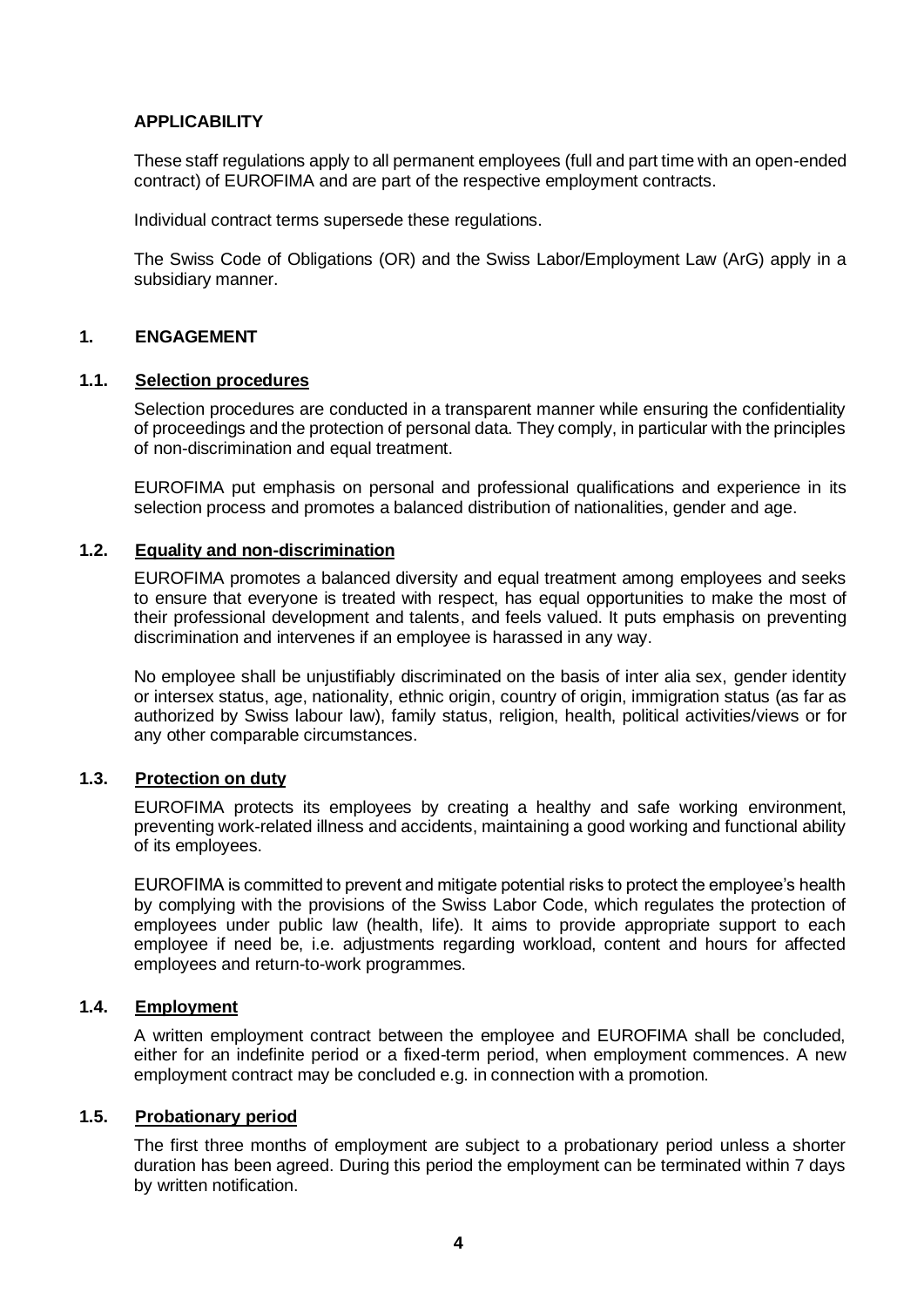# <span id="page-3-0"></span>**APPLICABILITY**

These staff regulations apply to all permanent employees (full and part time with an open-ended contract) of EUROFIMA and are part of the respective employment contracts.

Individual contract terms supersede these regulations.

The Swiss Code of Obligations (OR) and the Swiss Labor/Employment Law (ArG) apply in a subsidiary manner.

#### <span id="page-3-1"></span>**1. ENGAGEMENT**

#### <span id="page-3-2"></span>**1.1. Selection procedures**

Selection procedures are conducted in a transparent manner while ensuring the confidentiality of proceedings and the protection of personal data. They comply, in particular with the principles of non-discrimination and equal treatment.

EUROFIMA put emphasis on personal and professional qualifications and experience in its selection process and promotes a balanced distribution of nationalities, gender and age.

#### <span id="page-3-3"></span>**1.2. Equality and non-discrimination**

EUROFIMA promotes a balanced diversity and equal treatment among employees and seeks to ensure that everyone is treated with respect, has equal opportunities to make the most of their professional development and talents, and feels valued. It puts emphasis on preventing discrimination and intervenes if an employee is harassed in any way.

No employee shall be unjustifiably discriminated on the basis of inter alia sex, gender identity or intersex status, age, nationality, ethnic origin, country of origin, immigration status (as far as authorized by Swiss labour law), family status, religion, health, political activities/views or for any other comparable circumstances.

#### <span id="page-3-4"></span>**1.3. Protection on duty**

EUROFIMA protects its employees by creating a healthy and safe working environment, preventing work-related illness and accidents, maintaining a good working and functional ability of its employees.

EUROFIMA is committed to prevent and mitigate potential risks to protect the employee's health by complying with the provisions of the Swiss Labor Code, which regulates the protection of employees under public law (health, life). It aims to provide appropriate support to each employee if need be, i.e. adjustments regarding workload, content and hours for affected employees and return-to-work programmes.

# <span id="page-3-5"></span>**1.4. Employment**

A written employment contract between the employee and EUROFIMA shall be concluded, either for an indefinite period or a fixed-term period, when employment commences. A new employment contract may be concluded e.g. in connection with a promotion.

# <span id="page-3-6"></span>**1.5. Probationary period**

The first three months of employment are subject to a probationary period unless a shorter duration has been agreed. During this period the employment can be terminated within 7 days by written notification.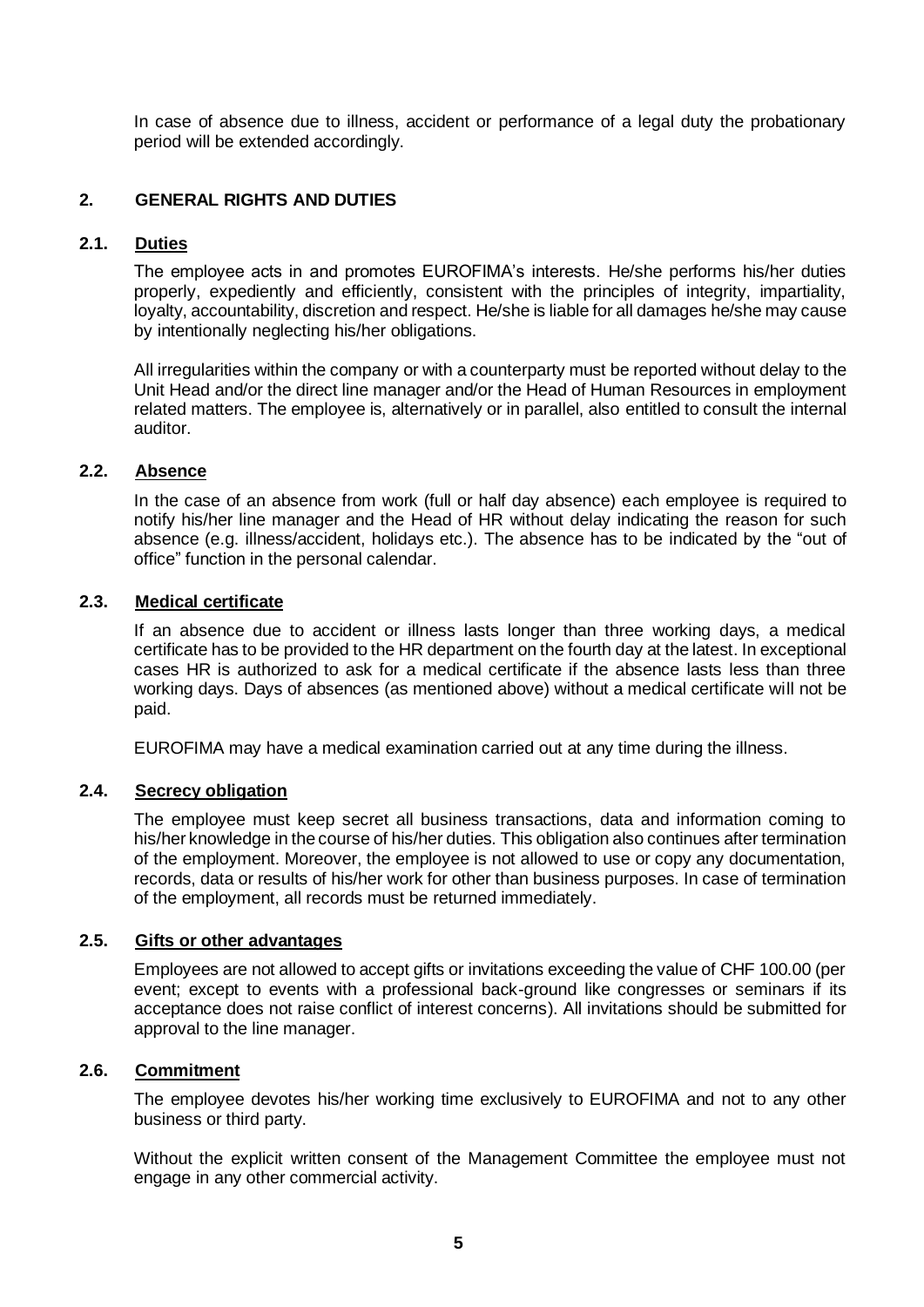In case of absence due to illness, accident or performance of a legal duty the probationary period will be extended accordingly.

# <span id="page-4-0"></span>**2. GENERAL RIGHTS AND DUTIES**

# <span id="page-4-1"></span>**2.1. Duties**

The employee acts in and promotes EUROFIMA's interests. He/she performs his/her duties properly, expediently and efficiently, consistent with the principles of integrity, impartiality, loyalty, accountability, discretion and respect. He/she is liable for all damages he/she may cause by intentionally neglecting his/her obligations.

All irregularities within the company or with a counterparty must be reported without delay to the Unit Head and/or the direct line manager and/or the Head of Human Resources in employment related matters. The employee is, alternatively or in parallel, also entitled to consult the internal auditor.

# <span id="page-4-2"></span>**2.2. Absence**

In the case of an absence from work (full or half day absence) each employee is required to notify his/her line manager and the Head of HR without delay indicating the reason for such absence (e.g. illness/accident, holidays etc.). The absence has to be indicated by the "out of office" function in the personal calendar.

#### <span id="page-4-3"></span>**2.3. Medical certificate**

If an absence due to accident or illness lasts longer than three working days, a medical certificate has to be provided to the HR department on the fourth day at the latest. In exceptional cases HR is authorized to ask for a medical certificate if the absence lasts less than three working days. Days of absences (as mentioned above) without a medical certificate will not be paid.

EUROFIMA may have a medical examination carried out at any time during the illness.

# <span id="page-4-4"></span>**2.4. Secrecy obligation**

The employee must keep secret all business transactions, data and information coming to his/her knowledge in the course of his/her duties. This obligation also continues after termination of the employment. Moreover, the employee is not allowed to use or copy any documentation, records, data or results of his/her work for other than business purposes. In case of termination of the employment, all records must be returned immediately.

#### <span id="page-4-5"></span>**2.5. Gifts or other advantages**

Employees are not allowed to accept gifts or invitations exceeding the value of CHF 100.00 (per event; except to events with a professional back-ground like congresses or seminars if its acceptance does not raise conflict of interest concerns). All invitations should be submitted for approval to the line manager.

# <span id="page-4-6"></span>**2.6. Commitment**

The employee devotes his/her working time exclusively to EUROFIMA and not to any other business or third party.

Without the explicit written consent of the Management Committee the employee must not engage in any other commercial activity.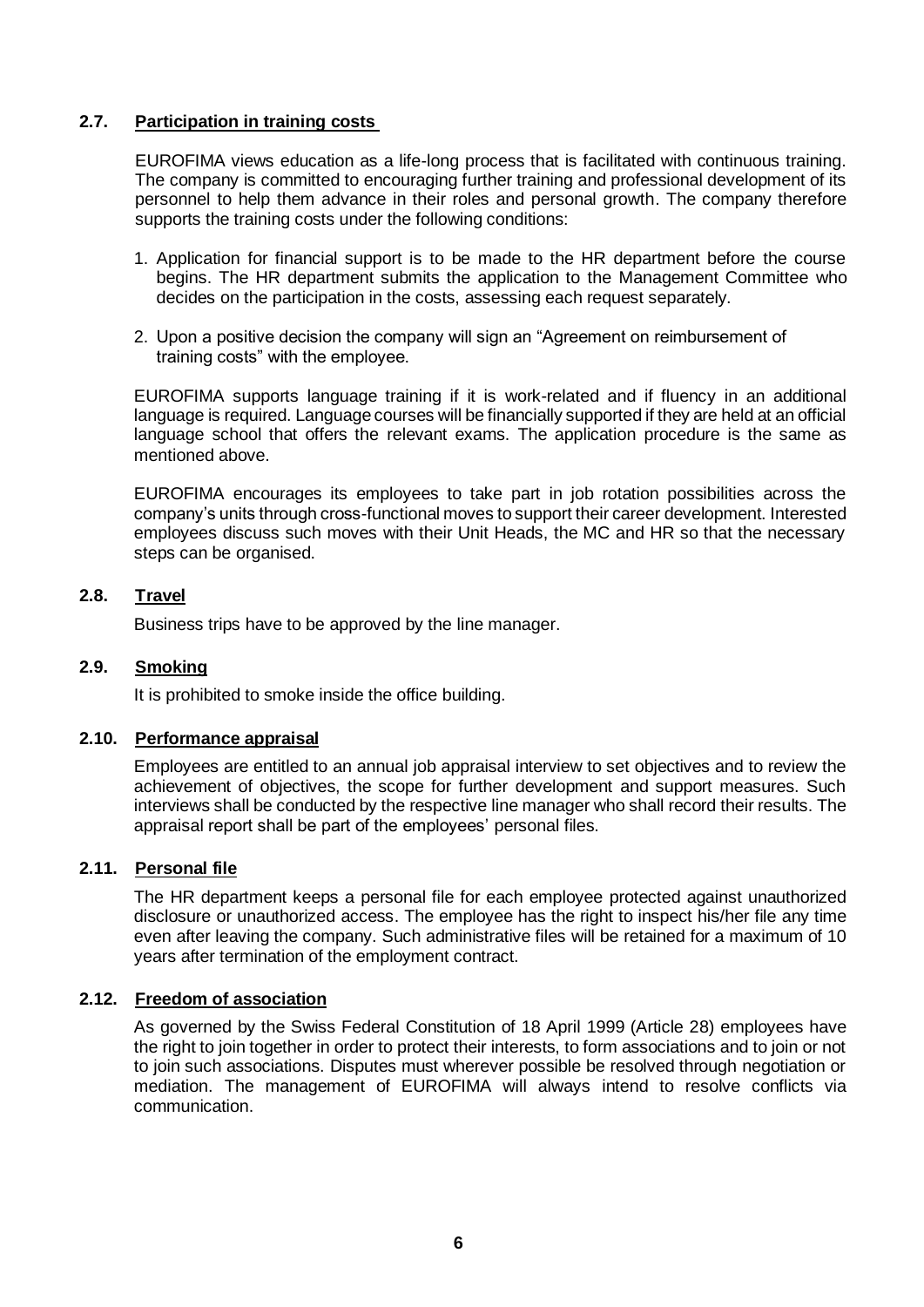#### <span id="page-5-0"></span>**2.7. Participation in training costs**

EUROFIMA views education as a life-long process that is facilitated with continuous training. The company is committed to encouraging further training and professional development of its personnel to help them advance in their roles and personal growth. The company therefore supports the training costs under the following conditions:

- 1. Application for financial support is to be made to the HR department before the course begins. The HR department submits the application to the Management Committee who decides on the participation in the costs, assessing each request separately.
- 2. Upon a positive decision the company will sign an "Agreement on reimbursement of training costs" with the employee.

EUROFIMA supports language training if it is work-related and if fluency in an additional language is required. Language courses will be financially supported if they are held at an official language school that offers the relevant exams. The application procedure is the same as mentioned above.

EUROFIMA encourages its employees to take part in job rotation possibilities across the company's units through cross-functional moves to support their career development. Interested employees discuss such moves with their Unit Heads, the MC and HR so that the necessary steps can be organised.

# <span id="page-5-1"></span>**2.8. Travel**

Business trips have to be approved by the line manager.

#### <span id="page-5-2"></span>**2.9. Smoking**

It is prohibited to smoke inside the office building.

#### <span id="page-5-3"></span>**2.10. Performance appraisal**

Employees are entitled to an annual job appraisal interview to set objectives and to review the achievement of objectives, the scope for further development and support measures. Such interviews shall be conducted by the respective line manager who shall record their results. The appraisal report shall be part of the employees' personal files.

# <span id="page-5-4"></span>**2.11. Personal file**

The HR department keeps a personal file for each employee protected against unauthorized disclosure or unauthorized access. The employee has the right to inspect his/her file any time even after leaving the company. Such administrative files will be retained for a maximum of 10 years after termination of the employment contract.

#### <span id="page-5-5"></span>**2.12. Freedom of association**

As governed by the Swiss Federal Constitution of 18 April 1999 (Article 28) employees have the right to join together in order to protect their interests, to form associations and to join or not to join such associations. Disputes must wherever possible be resolved through negotiation or mediation. The management of EUROFIMA will always intend to resolve conflicts via communication.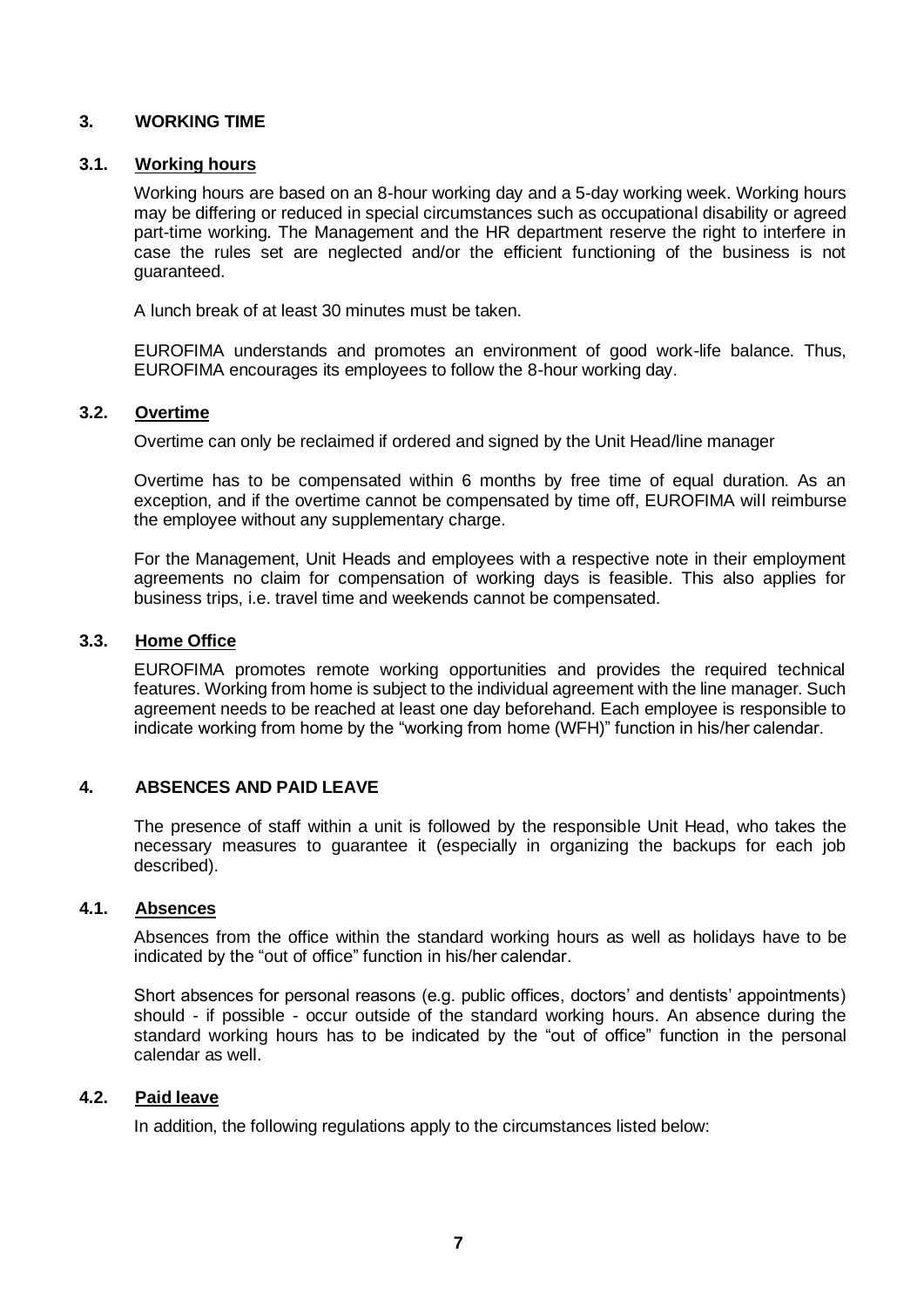### <span id="page-6-0"></span>**3. WORKING TIME**

#### <span id="page-6-1"></span>**3.1. Working hours**

Working hours are based on an 8-hour working day and a 5-day working week. Working hours may be differing or reduced in special circumstances such as occupational disability or agreed part-time working. The Management and the HR department reserve the right to interfere in case the rules set are neglected and/or the efficient functioning of the business is not guaranteed.

A lunch break of at least 30 minutes must be taken.

EUROFIMA understands and promotes an environment of good work-life balance. Thus, EUROFIMA encourages its employees to follow the 8-hour working day.

#### <span id="page-6-2"></span>**3.2. Overtime**

Overtime can only be reclaimed if ordered and signed by the Unit Head/line manager

Overtime has to be compensated within 6 months by free time of equal duration. As an exception, and if the overtime cannot be compensated by time off, EUROFIMA will reimburse the employee without any supplementary charge.

For the Management, Unit Heads and employees with a respective note in their employment agreements no claim for compensation of working days is feasible. This also applies for business trips, i.e. travel time and weekends cannot be compensated.

#### <span id="page-6-3"></span>**3.3. Home Office**

EUROFIMA promotes remote working opportunities and provides the required technical features. Working from home is subject to the individual agreement with the line manager. Such agreement needs to be reached at least one day beforehand. Each employee is responsible to indicate working from home by the "working from home (WFH)" function in his/her calendar.

#### <span id="page-6-4"></span>**4. ABSENCES AND PAID LEAVE**

The presence of staff within a unit is followed by the responsible Unit Head, who takes the necessary measures to guarantee it (especially in organizing the backups for each job described).

# <span id="page-6-5"></span>**4.1. Absences**

Absences from the office within the standard working hours as well as holidays have to be indicated by the "out of office" function in his/her calendar.

Short absences for personal reasons (e.g. public offices, doctors' and dentists' appointments) should - if possible - occur outside of the standard working hours. An absence during the standard working hours has to be indicated by the "out of office" function in the personal calendar as well.

#### <span id="page-6-6"></span>**4.2. Paid leave**

In addition, the following regulations apply to the circumstances listed below: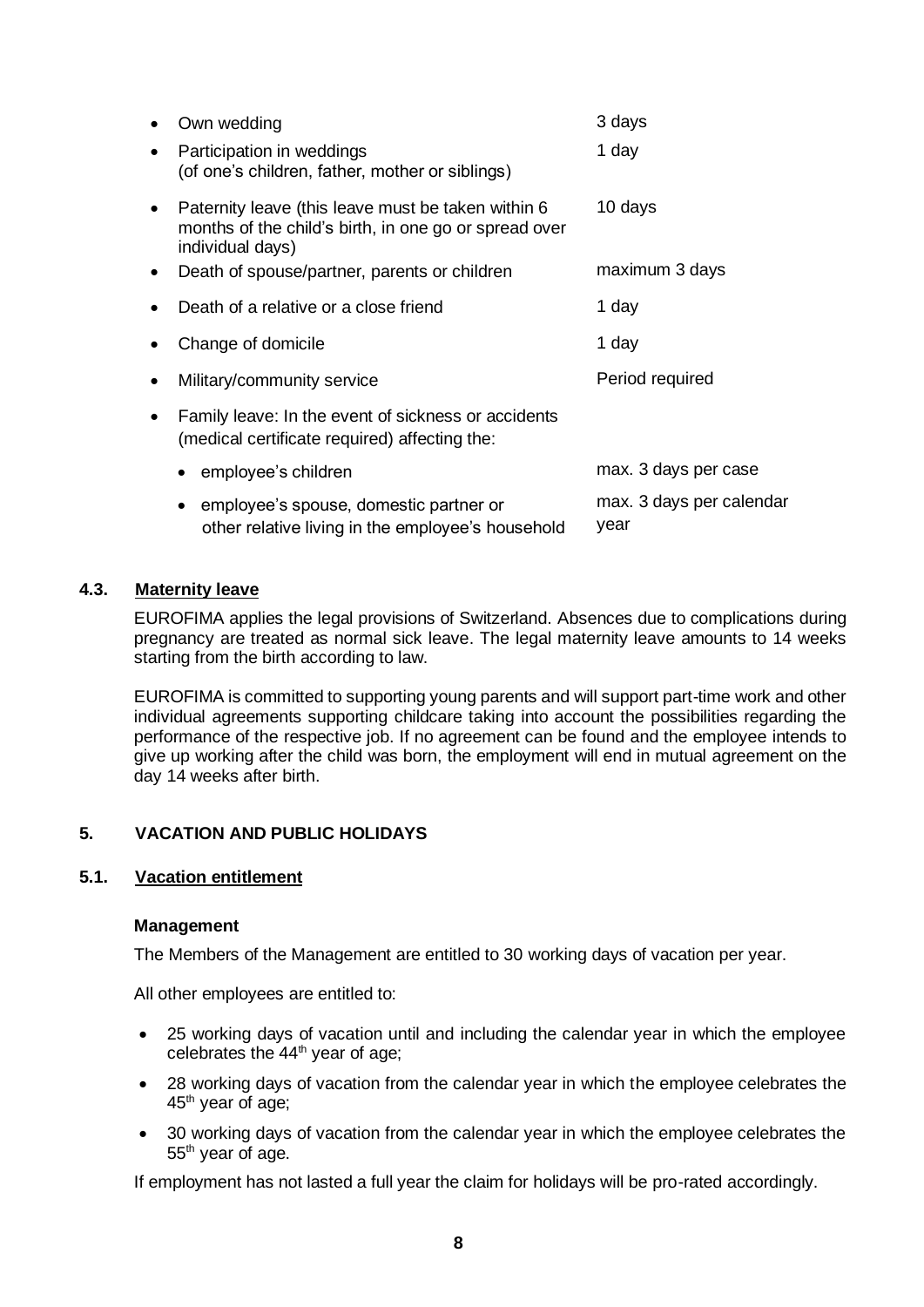|           | Own wedding                                                                                                                     | 3 days                           |
|-----------|---------------------------------------------------------------------------------------------------------------------------------|----------------------------------|
| $\bullet$ | Participation in weddings<br>(of one's children, father, mother or siblings)                                                    | 1 day                            |
| $\bullet$ | Paternity leave (this leave must be taken within 6<br>months of the child's birth, in one go or spread over<br>individual days) | 10 days                          |
| $\bullet$ | Death of spouse/partner, parents or children                                                                                    | maximum 3 days                   |
| $\bullet$ | Death of a relative or a close friend                                                                                           | 1 day                            |
| $\bullet$ | Change of domicile                                                                                                              | 1 day                            |
| $\bullet$ | Military/community service                                                                                                      | Period required                  |
| $\bullet$ | Family leave: In the event of sickness or accidents<br>(medical certificate required) affecting the:                            |                                  |
|           | employee's children<br>$\bullet$                                                                                                | max. 3 days per case             |
|           | employee's spouse, domestic partner or<br>other relative living in the employee's household                                     | max. 3 days per calendar<br>year |

# <span id="page-7-0"></span>**4.3. Maternity leave**

EUROFIMA applies the legal provisions of Switzerland. Absences due to complications during pregnancy are treated as normal sick leave. The legal maternity leave amounts to 14 weeks starting from the birth according to law.

EUROFIMA is committed to supporting young parents and will support part-time work and other individual agreements supporting childcare taking into account the possibilities regarding the performance of the respective job. If no agreement can be found and the employee intends to give up working after the child was born, the employment will end in mutual agreement on the day 14 weeks after birth.

# <span id="page-7-1"></span>**5. VACATION AND PUBLIC HOLIDAYS**

# <span id="page-7-2"></span>**5.1. Vacation entitlement**

#### **Management**

The Members of the Management are entitled to 30 working days of vacation per year.

All other employees are entitled to:

- 25 working days of vacation until and including the calendar year in which the employee celebrates the  $44<sup>th</sup>$  year of age;
- 28 working days of vacation from the calendar year in which the employee celebrates the 45<sup>th</sup> year of age;
- 30 working days of vacation from the calendar year in which the employee celebrates the 55th year of age.

If employment has not lasted a full year the claim for holidays will be pro-rated accordingly.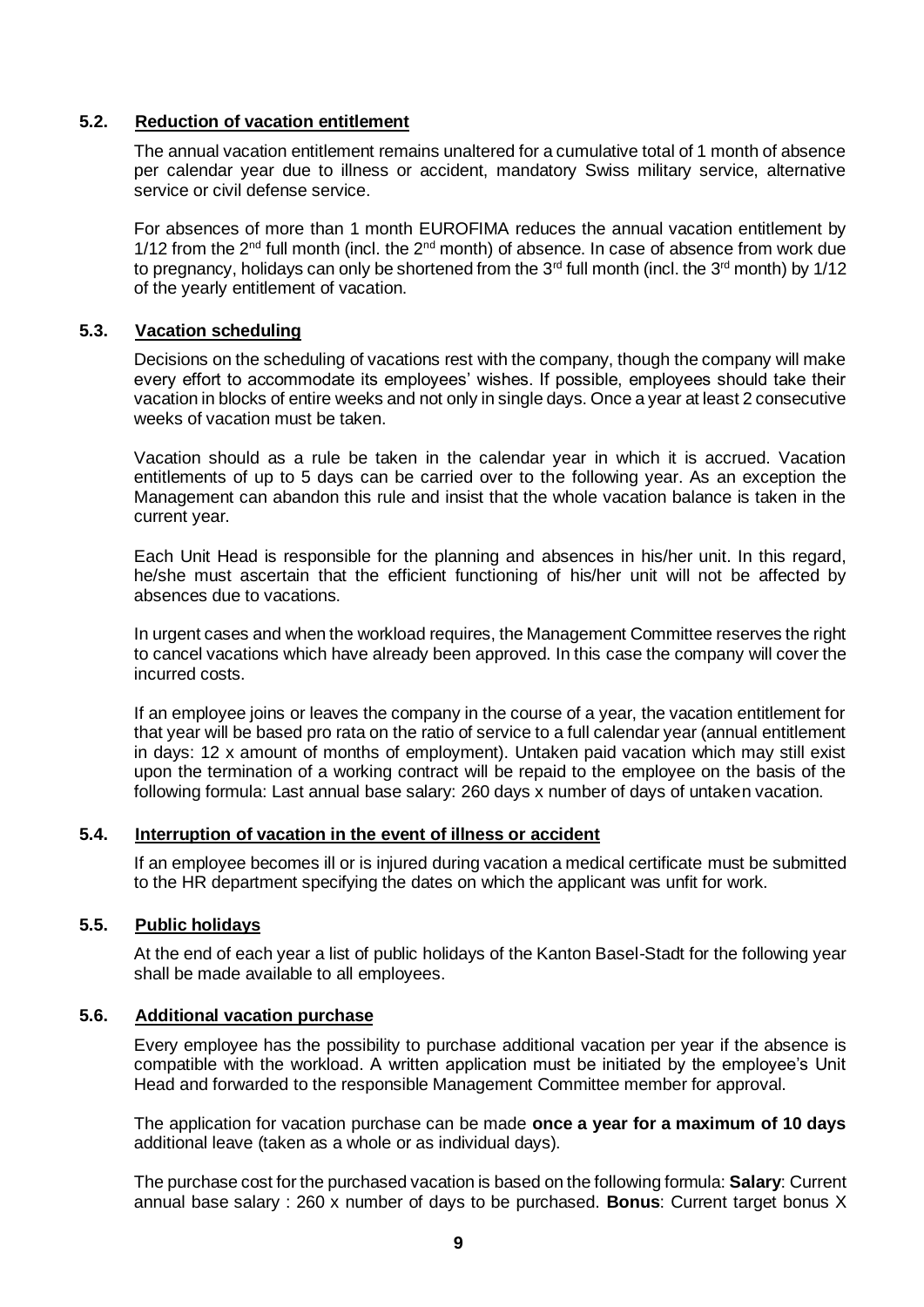#### <span id="page-8-0"></span>**5.2. Reduction of vacation entitlement**

The annual vacation entitlement remains unaltered for a cumulative total of 1 month of absence per calendar year due to illness or accident, mandatory Swiss military service, alternative service or civil defense service.

For absences of more than 1 month EUROFIMA reduces the annual vacation entitlement by 1/12 from the 2<sup>nd</sup> full month (incl. the 2<sup>nd</sup> month) of absence. In case of absence from work due to pregnancy, holidays can only be shortened from the  $3<sup>rd</sup>$  full month (incl. the  $3<sup>rd</sup>$  month) by 1/12 of the yearly entitlement of vacation.

#### <span id="page-8-1"></span>**5.3. Vacation scheduling**

Decisions on the scheduling of vacations rest with the company, though the company will make every effort to accommodate its employees' wishes. If possible, employees should take their vacation in blocks of entire weeks and not only in single days. Once a year at least 2 consecutive weeks of vacation must be taken.

Vacation should as a rule be taken in the calendar year in which it is accrued. Vacation entitlements of up to 5 days can be carried over to the following year. As an exception the Management can abandon this rule and insist that the whole vacation balance is taken in the current year.

Each Unit Head is responsible for the planning and absences in his/her unit. In this regard, he/she must ascertain that the efficient functioning of his/her unit will not be affected by absences due to vacations.

In urgent cases and when the workload requires, the Management Committee reserves the right to cancel vacations which have already been approved. In this case the company will cover the incurred costs.

If an employee joins or leaves the company in the course of a year, the vacation entitlement for that year will be based pro rata on the ratio of service to a full calendar year (annual entitlement in days: 12 x amount of months of employment). Untaken paid vacation which may still exist upon the termination of a working contract will be repaid to the employee on the basis of the following formula: Last annual base salary: 260 days x number of days of untaken vacation.

#### <span id="page-8-2"></span>**5.4. Interruption of vacation in the event of illness or accident**

If an employee becomes ill or is injured during vacation a medical certificate must be submitted to the HR department specifying the dates on which the applicant was unfit for work.

# <span id="page-8-3"></span>**5.5. Public holidays**

At the end of each year a list of public holidays of the Kanton Basel-Stadt for the following year shall be made available to all employees.

#### <span id="page-8-4"></span>**5.6. Additional vacation purchase**

Every employee has the possibility to purchase additional vacation per year if the absence is compatible with the workload. A written application must be initiated by the employee's Unit Head and forwarded to the responsible Management Committee member for approval.

The application for vacation purchase can be made **once a year for a maximum of 10 days**  additional leave (taken as a whole or as individual days).

The purchase cost for the purchased vacation is based on the following formula: **Salary**: Current annual base salary : 260 x number of days to be purchased. **Bonus**: Current target bonus X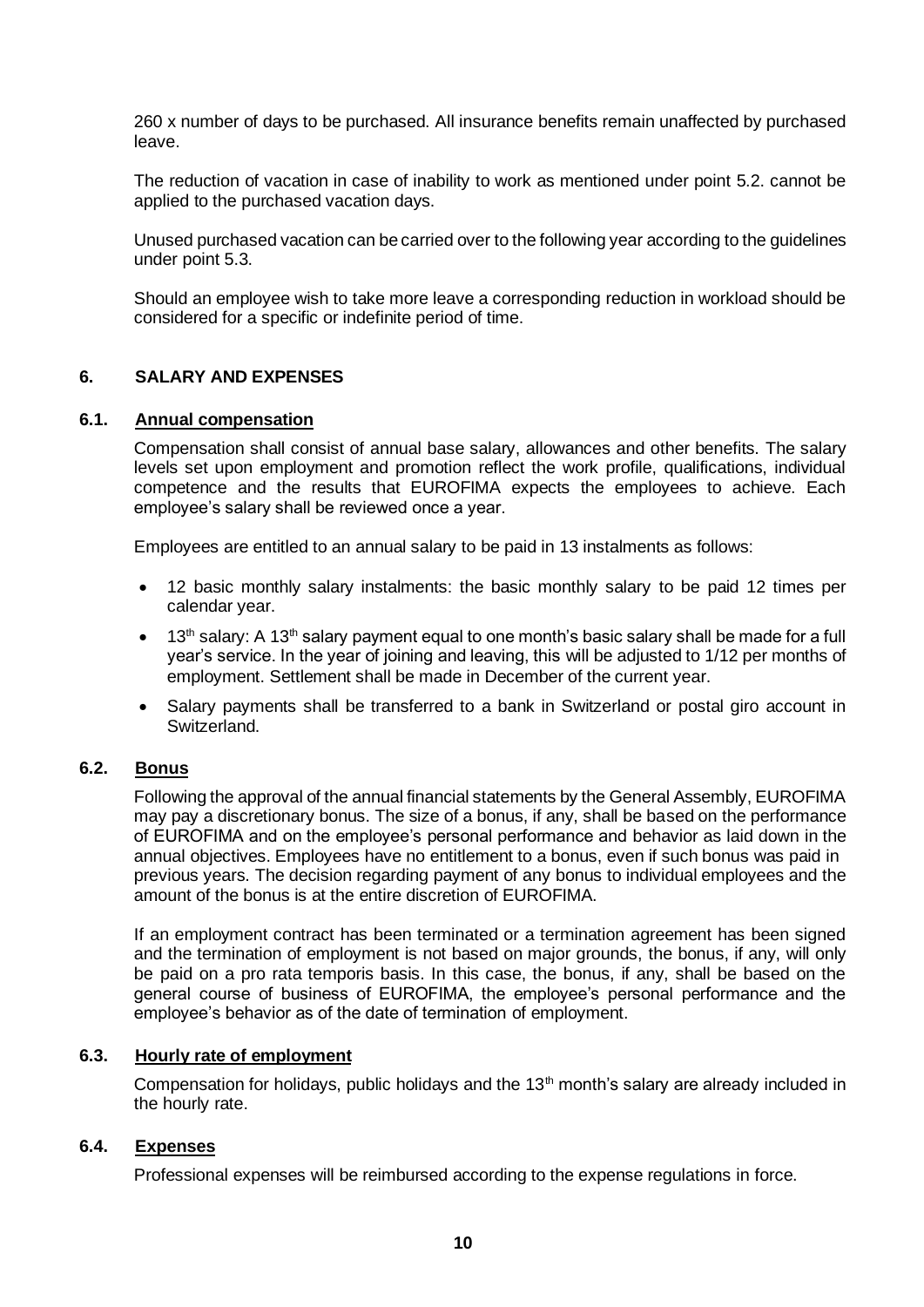260 x number of days to be purchased. All insurance benefits remain unaffected by purchased leave.

The reduction of vacation in case of inability to work as mentioned under point 5.2. cannot be applied to the purchased vacation days.

Unused purchased vacation can be carried over to the following year according to the guidelines under point 5.3.

Should an employee wish to take more leave a corresponding reduction in workload should be considered for a specific or indefinite period of time.

# <span id="page-9-0"></span>**6. SALARY AND EXPENSES**

#### <span id="page-9-1"></span>**6.1. Annual compensation**

Compensation shall consist of annual base salary, allowances and other benefits. The salary levels set upon employment and promotion reflect the work profile, qualifications, individual competence and the results that EUROFIMA expects the employees to achieve. Each employee's salary shall be reviewed once a year.

Employees are entitled to an annual salary to be paid in 13 instalments as follows:

- 12 basic monthly salary instalments: the basic monthly salary to be paid 12 times per calendar year.
- $\bullet$  13<sup>th</sup> salary: A 13<sup>th</sup> salary payment equal to one month's basic salary shall be made for a full year's service. In the year of joining and leaving, this will be adjusted to 1/12 per months of employment. Settlement shall be made in December of the current year.
- Salary payments shall be transferred to a bank in Switzerland or postal giro account in Switzerland.

# <span id="page-9-2"></span>**6.2. Bonus**

Following the approval of the annual financial statements by the General Assembly, EUROFIMA may pay a discretionary bonus. The size of a bonus, if any, shall be based on the performance of EUROFIMA and on the employee's personal performance and behavior as laid down in the annual objectives. Employees have no entitlement to a bonus, even if such bonus was paid in previous years. The decision regarding payment of any bonus to individual employees and the amount of the bonus is at the entire discretion of EUROFIMA.

If an employment contract has been terminated or a termination agreement has been signed and the termination of employment is not based on major grounds, the bonus, if any, will only be paid on a pro rata temporis basis. In this case, the bonus, if any, shall be based on the general course of business of EUROFIMA, the employee's personal performance and the employee's behavior as of the date of termination of employment.

#### <span id="page-9-3"></span>**6.3. Hourly rate of employment**

Compensation for holidays, public holidays and the 13<sup>th</sup> month's salary are already included in the hourly rate.

#### <span id="page-9-4"></span>**6.4. Expenses**

Professional expenses will be reimbursed according to the expense regulations in force.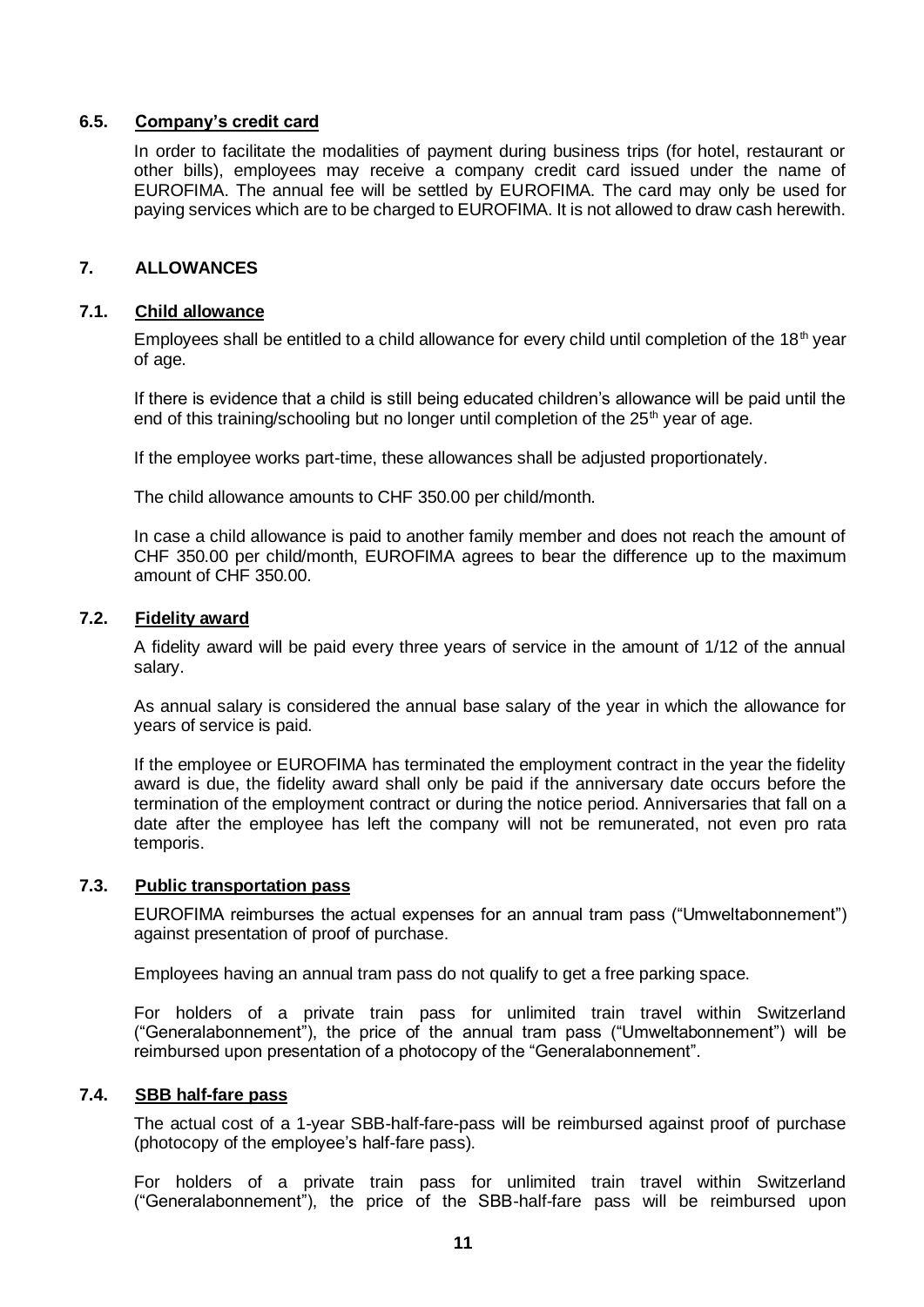#### <span id="page-10-0"></span>**6.5. Company's credit card**

In order to facilitate the modalities of payment during business trips (for hotel, restaurant or other bills), employees may receive a company credit card issued under the name of EUROFIMA. The annual fee will be settled by EUROFIMA. The card may only be used for paying services which are to be charged to EUROFIMA. It is not allowed to draw cash herewith.

#### <span id="page-10-1"></span>**7. ALLOWANCES**

#### <span id="page-10-2"></span>**7.1. Child allowance**

Employees shall be entitled to a child allowance for every child until completion of the 18<sup>th</sup> year of age.

If there is evidence that a child is still being educated children's allowance will be paid until the end of this training/schooling but no longer until completion of the  $25<sup>th</sup>$  year of age.

If the employee works part-time, these allowances shall be adjusted proportionately.

The child allowance amounts to CHF 350.00 per child/month.

In case a child allowance is paid to another family member and does not reach the amount of CHF 350.00 per child/month, EUROFIMA agrees to bear the difference up to the maximum amount of CHF 350.00.

# <span id="page-10-3"></span>**7.2. Fidelity award**

A fidelity award will be paid every three years of service in the amount of 1/12 of the annual salary.

As annual salary is considered the annual base salary of the year in which the allowance for years of service is paid.

If the employee or EUROFIMA has terminated the employment contract in the year the fidelity award is due, the fidelity award shall only be paid if the anniversary date occurs before the termination of the employment contract or during the notice period. Anniversaries that fall on a date after the employee has left the company will not be remunerated, not even pro rata temporis.

# <span id="page-10-4"></span>**7.3. Public transportation pass**

EUROFIMA reimburses the actual expenses for an annual tram pass ("Umweltabonnement") against presentation of proof of purchase.

Employees having an annual tram pass do not qualify to get a free parking space.

For holders of a private train pass for unlimited train travel within Switzerland ("Generalabonnement"), the price of the annual tram pass ("Umweltabonnement") will be reimbursed upon presentation of a photocopy of the "Generalabonnement".

# <span id="page-10-5"></span>**7.4. SBB half-fare pass**

The actual cost of a 1-year SBB-half-fare-pass will be reimbursed against proof of purchase (photocopy of the employee's half-fare pass).

For holders of a private train pass for unlimited train travel within Switzerland ("Generalabonnement"), the price of the SBB-half-fare pass will be reimbursed upon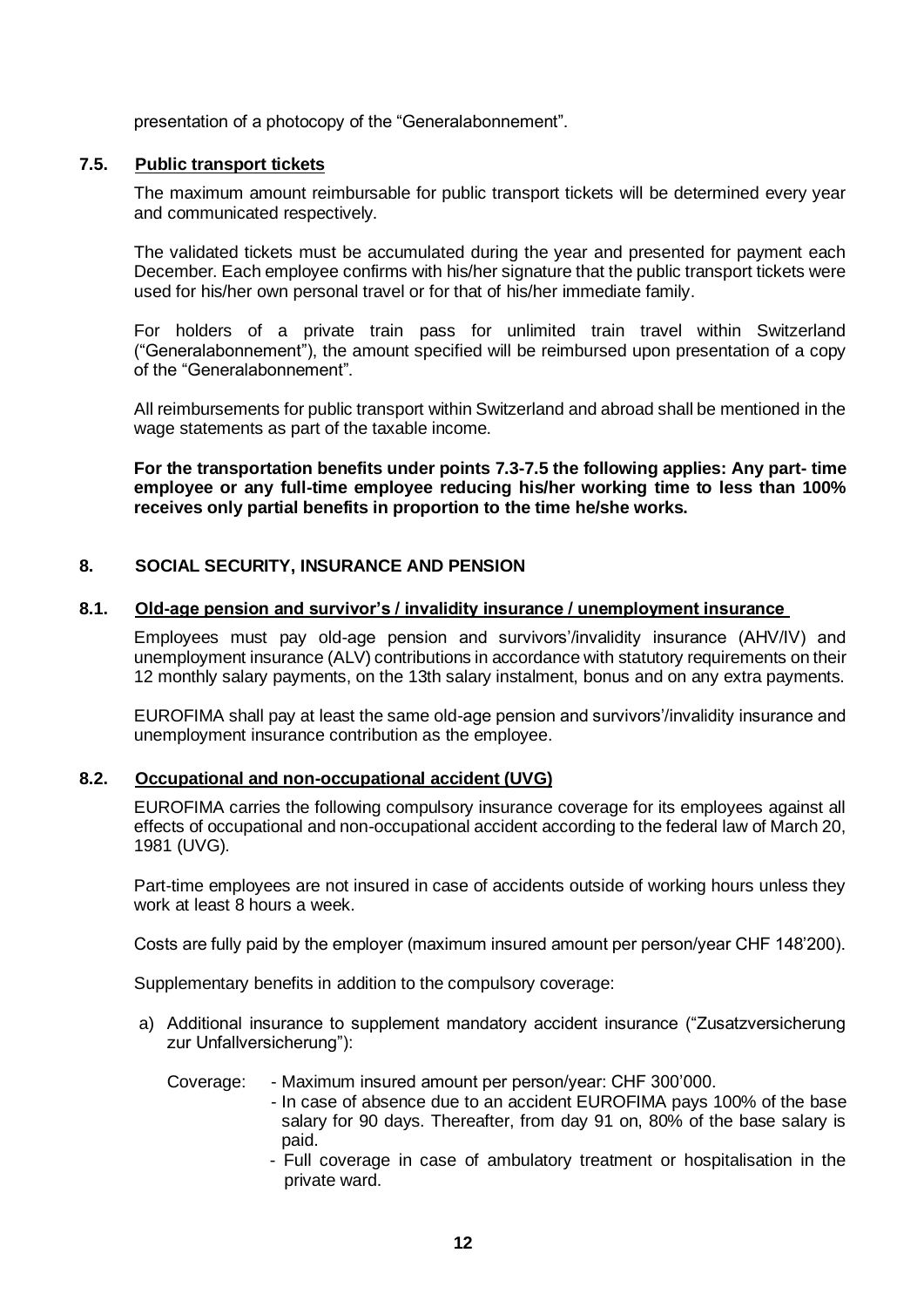presentation of a photocopy of the "Generalabonnement".

# <span id="page-11-0"></span>**7.5. Public transport tickets**

The maximum amount reimbursable for public transport tickets will be determined every year and communicated respectively.

The validated tickets must be accumulated during the year and presented for payment each December. Each employee confirms with his/her signature that the public transport tickets were used for his/her own personal travel or for that of his/her immediate family.

For holders of a private train pass for unlimited train travel within Switzerland ("Generalabonnement"), the amount specified will be reimbursed upon presentation of a copy of the "Generalabonnement".

All reimbursements for public transport within Switzerland and abroad shall be mentioned in the wage statements as part of the taxable income.

**For the transportation benefits under points 7.3-7.5 the following applies: Any part- time employee or any full-time employee reducing his/her working time to less than 100% receives only partial benefits in proportion to the time he/she works.**

# <span id="page-11-1"></span>**8. SOCIAL SECURITY, INSURANCE AND PENSION**

#### <span id="page-11-2"></span>**8.1. Old-age pension and survivor's / invalidity insurance / unemployment insurance**

Employees must pay old-age pension and survivors'/invalidity insurance (AHV/IV) and unemployment insurance (ALV) contributions in accordance with statutory requirements on their 12 monthly salary payments, on the 13th salary instalment, bonus and on any extra payments.

EUROFIMA shall pay at least the same old-age pension and survivors'/invalidity insurance and unemployment insurance contribution as the employee.

# <span id="page-11-3"></span>**8.2. Occupational and non-occupational accident (UVG)**

EUROFIMA carries the following compulsory insurance coverage for its employees against all effects of occupational and non-occupational accident according to the federal law of March 20, 1981 (UVG).

Part-time employees are not insured in case of accidents outside of working hours unless they work at least 8 hours a week.

Costs are fully paid by the employer (maximum insured amount per person/year CHF 148'200).

Supplementary benefits in addition to the compulsory coverage:

- a) Additional insurance to supplement mandatory accident insurance ("Zusatzversicherung zur Unfallversicherung"):
	- Coverage: Maximum insured amount per person/year: CHF 300'000.
		- In case of absence due to an accident EUROFIMA pays 100% of the base salary for 90 days. Thereafter, from day 91 on, 80% of the base salary is paid.
			- Full coverage in case of ambulatory treatment or hospitalisation in the private ward.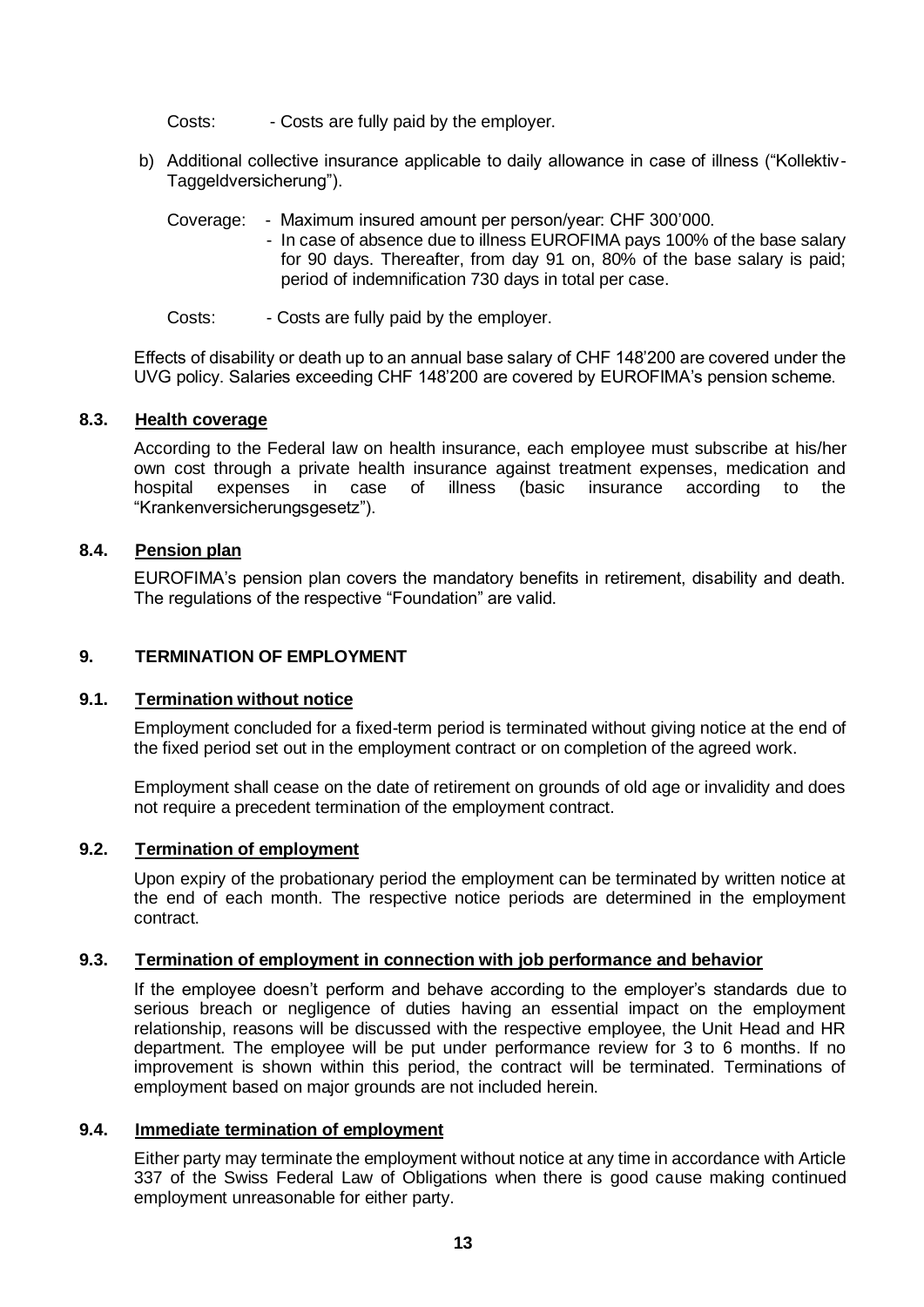Costs: - Costs are fully paid by the employer.

- b) Additional collective insurance applicable to daily allowance in case of illness ("Kollektiv-Taggeldversicherung").
	- Coverage: Maximum insured amount per person/year: CHF 300'000.
		- In case of absence due to illness EUROFIMA pays 100% of the base salary for 90 days. Thereafter, from day 91 on, 80% of the base salary is paid; period of indemnification 730 days in total per case.
	- Costs: Costs are fully paid by the employer.

Effects of disability or death up to an annual base salary of CHF 148'200 are covered under the UVG policy. Salaries exceeding CHF 148'200 are covered by EUROFIMA's pension scheme.

#### <span id="page-12-0"></span>**8.3. Health coverage**

According to the Federal law on health insurance, each employee must subscribe at his/her own cost through a private health insurance against treatment expenses, medication and hospital expenses in case of illness (basic insurance according to the "Krankenversicherungsgesetz").

# <span id="page-12-1"></span>**8.4. Pension plan**

EUROFIMA's pension plan covers the mandatory benefits in retirement, disability and death. The regulations of the respective "Foundation" are valid.

### <span id="page-12-2"></span>**9. TERMINATION OF EMPLOYMENT**

# <span id="page-12-3"></span>**9.1. Termination without notice**

Employment concluded for a fixed-term period is terminated without giving notice at the end of the fixed period set out in the employment contract or on completion of the agreed work.

Employment shall cease on the date of retirement on grounds of old age or invalidity and does not require a precedent termination of the employment contract.

# <span id="page-12-4"></span>**9.2. Termination of employment**

Upon expiry of the probationary period the employment can be terminated by written notice at the end of each month. The respective notice periods are determined in the employment contract.

# <span id="page-12-5"></span>**9.3. Termination of employment in connection with job performance and behavior**

If the employee doesn't perform and behave according to the employer's standards due to serious breach or negligence of duties having an essential impact on the employment relationship, reasons will be discussed with the respective employee, the Unit Head and HR department. The employee will be put under performance review for 3 to 6 months. If no improvement is shown within this period, the contract will be terminated. Terminations of employment based on major grounds are not included herein.

#### <span id="page-12-6"></span>**9.4. Immediate termination of employment**

Either party may terminate the employment without notice at any time in accordance with Article 337 of the Swiss Federal Law of Obligations when there is good cause making continued employment unreasonable for either party.